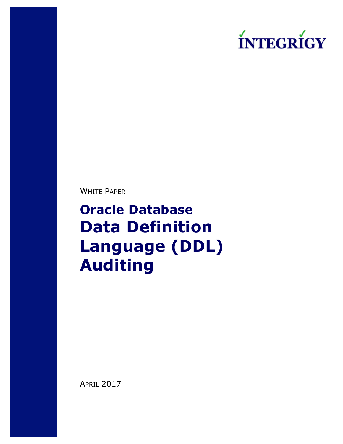# **ÍNTEGRÍGY**

WHITE PAPER

**Oracle Database Data Definition Language (DDL) Auditing**

APRIL 2017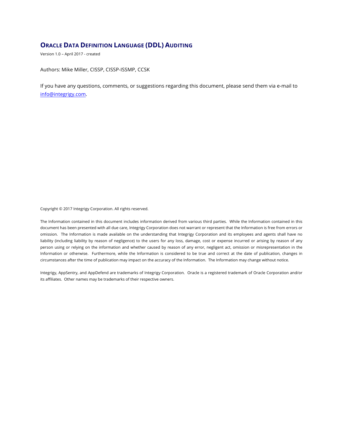# **ORACLE DATA DEFINITION LANGUAGE (DDL) AUDITING**

Version 1.0 – April 2017 - created

Authors: Mike Miller, CISSP, CISSP-ISSMP, CCSK

If you have any questions, comments, or suggestions regarding this document, please send them via e-mail to info@integrigy.com.

Copyright © 2017 Integrigy Corporation. All rights reserved.

The Information contained in this document includes information derived from various third parties. While the Information contained in this document has been presented with all due care, Integrigy Corporation does not warrant or represent that the Information is free from errors or omission. The Information is made available on the understanding that Integrigy Corporation and its employees and agents shall have no liability (including liability by reason of negligence) to the users for any loss, damage, cost or expense incurred or arising by reason of any person using or relying on the information and whether caused by reason of any error, negligent act, omission or misrepresentation in the Information or otherwise. Furthermore, while the Information is considered to be true and correct at the date of publication, changes in circumstances after the time of publication may impact on the accuracy of the Information. The Information may change without notice.

Integrigy, AppSentry, and AppDefend are trademarks of Integrigy Corporation. Oracle is a registered trademark of Oracle Corporation and/or its affiliates. Other names may be trademarks of their respective owners.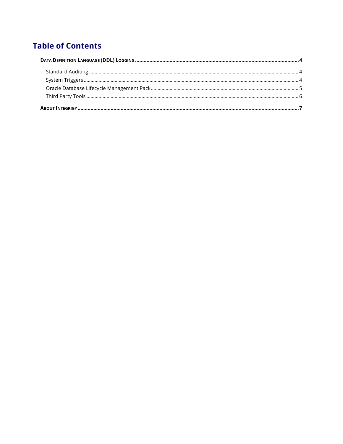# **Table of Contents**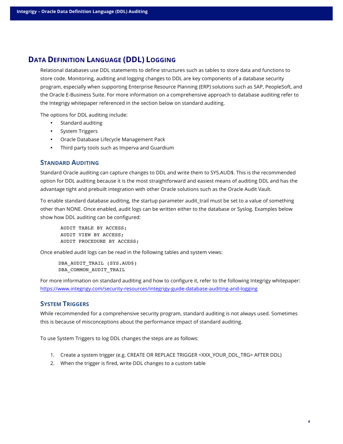# **DATA DEFINITION LANGUAGE (DDL) LOGGING**

Relational databases use DDL statements to define structures such as tables to store data and functions to store code. Monitoring, auditing and logging changes to DDL are key components of a database security program, especially when supporting Enterprise Resource Planning (ERP) solutions such as SAP, PeopleSoft, and the Oracle E-Business Suite. For more information on a comprehensive approach to database auditing refer to the Integrigy whitepaper referenced in the section below on standard auditing.

The options for DDL auditing include:

- Standard auditing
- System Triggers
- Oracle Database Lifecycle Management Pack
- Third party tools such as Imperva and Guardium

### **STANDARD AUDITING**

Standard Oracle auditing can capture changes to DDL and write them to SYS.AUD\$. This is the recommended option for DDL auditing because it is the most straightforward and easiest means of auditing DDL and has the advantage tight and prebuilt integration with other Oracle solutions such as the Oracle Audit Vault.

To enable standard database auditing, the startup parameter audit\_trail must be set to a value of something other than NONE. Once enabled, audit logs can be written either to the database or Syslog. Examples below show how DDL auditing can be configured:

AUDIT TABLE BY ACCESS; AUDIT VIEW BY ACCESS; AUDIT PROCEDURE BY ACCESS;

Once enabled audit logs can be read in the following tables and system views:

DBA AUDIT TRAIL (SYS.AUD\$) DBA COMMON AUDIT TRAIL

For more information on standard auditing and how to configure it, refer to the following Integrigy whitepaper: https://www.integrigy.com/security-resources/integrigy-guide-database-auditing-and-logging

## **SYSTEM TRIGGERS**

While recommended for a comprehensive security program, standard auditing is not always used. Sometimes this is because of misconceptions about the performance impact of standard auditing.

To use System Triggers to log DDL changes the steps are as follows:

- 1. Create a system trigger (e.g. CREATE OR REPLACE TRIGGER <XXX\_YOUR\_DDL\_TRG> AFTER DDL)
- 2. When the trigger is fired, write DDL changes to a custom table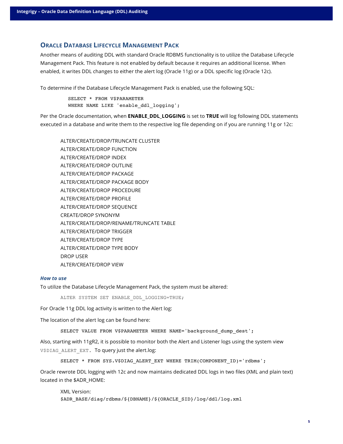# **ORACLE DATABASE LIFECYCLE MANAGEMENT PACK**

Another means of auditing DDL with standard Oracle RDBMS functionality is to utilize the Database Lifecycle Management Pack. This feature is not enabled by default because it requires an additional license. When enabled, it writes DDL changes to either the alert log (Oracle 11g) or a DDL specific log (Oracle 12c).

To determine if the Database Lifecycle Management Pack is enabled, use the following SQL:

```
SELECT * FROM V$PARAMETER 
WHERE NAME LIKE 'enable ddl logging';
```
Per the Oracle documentation, when **ENABLE\_DDL\_LOGGING** is set to **TRUE** will log following DDL statements executed in a database and write them to the respective log file depending on if you are running 11g or 12c:

ALTER/CREATE/DROP/TRUNCATE CLUSTER ALTER/CREATE/DROP FUNCTION ALTER/CREATE/DROP INDEX ALTER/CREATE/DROP OUTLINE ALTER/CREATE/DROP PACKAGE ALTER/CREATE/DROP PACKAGE BODY ALTER/CREATE/DROP PROCEDURE ALTER/CREATE/DROP PROFILE ALTER/CREATE/DROP SEQUENCE CREATE/DROP SYNONYM ALTER/CREATE/DROP/RENAME/TRUNCATE TABLE ALTER/CREATE/DROP TRIGGER ALTER/CREATE/DROP TYPE ALTER/CREATE/DROP TYPE BODY DROP USER ALTER/CREATE/DROP VIEW

#### *How to use*

To utilize the Database Lifecycle Management Pack, the system must be altered:

ALTER SYSTEM SET ENABLE DDL LOGGING=TRUE;

For Oracle 11g DDL log activity is written to the Alert log:

The location of the alert log can be found here:

SELECT VALUE FROM V\$PARAMETER WHERE NAME='background dump dest';

Also, starting with 11gR2, it is possible to monitor both the Alert and Listener logs using the system view V\$DIAG\_ALERT\_EXT. To query just the alert.log:

```
SELECT * FROM SYS.V$DIAG ALERT EXT WHERE TRIM(COMPONENT ID)='rdbms';
```
Oracle rewrote DDL logging with 12c and now maintains dedicated DDL logs in two files (XML and plain text) located in the \$ADR\_HOME:

XML Version: \$ADR\_BASE/diag/rdbms/\${DBNAME}/\${ORACLE\_SID}/log/ddl/log.xml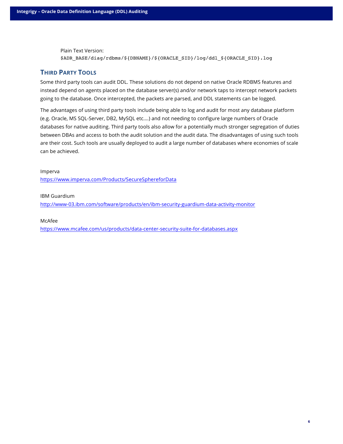Plain Text Version: \$ADR\_BASE/diag/rdbms/\${DBNAME}/\${ORACLE\_SID}/log/ddl\_\${ORACLE\_SID}.log

# **THIRD PARTY TOOLS**

Some third party tools can audit DDL. These solutions do not depend on native Oracle RDBMS features and instead depend on agents placed on the database server(s) and/or network taps to intercept network packets going to the database. Once intercepted, the packets are parsed, and DDL statements can be logged.

The advantages of using third party tools include being able to log and audit for most any database platform (e.g. Oracle, MS SQL-Server, DB2, MySQL etc.…) and not needing to configure large numbers of Oracle databases for native auditing. Third party tools also allow for a potentially much stronger segregation of duties between DBAs and access to both the audit solution and the audit data. The disadvantages of using such tools are their cost. Such tools are usually deployed to audit a large number of databases where economies of scale can be achieved.

Imperva https://www.imperva.com/Products/SecureSphereforData

IBM Guardium

http://www-03.ibm.com/software/products/en/ibm-security-guardium-data-activity-monitor

McAfee

https://www.mcafee.com/us/products/data-center-security-suite-for-databases.aspx